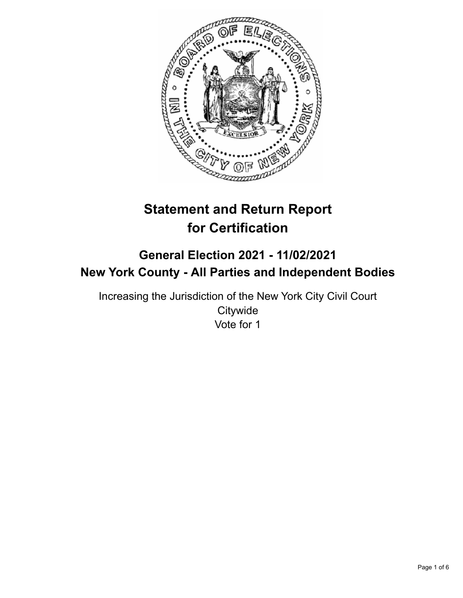

# **Statement and Return Report for Certification**

# **General Election 2021 - 11/02/2021 New York County - All Parties and Independent Bodies**

Increasing the Jurisdiction of the New York City Civil Court **Citywide** Vote for 1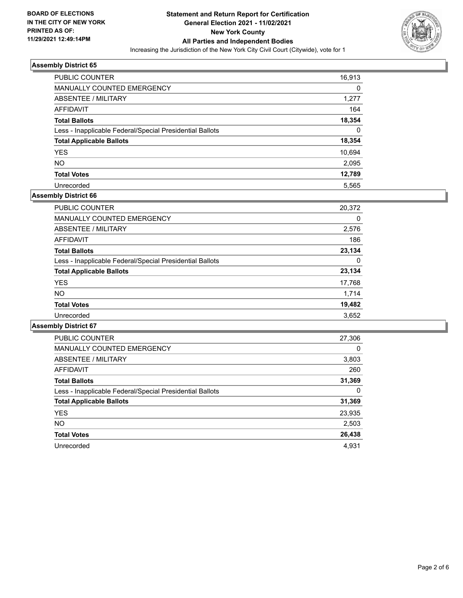

| <b>PUBLIC COUNTER</b>                                    | 16,913 |
|----------------------------------------------------------|--------|
| <b>MANUALLY COUNTED EMERGENCY</b>                        | 0      |
| ABSENTEE / MILITARY                                      | 1,277  |
| AFFIDAVIT                                                | 164    |
| <b>Total Ballots</b>                                     | 18,354 |
| Less - Inapplicable Federal/Special Presidential Ballots | 0      |
| <b>Total Applicable Ballots</b>                          | 18,354 |
| <b>YES</b>                                               | 10,694 |
| <b>NO</b>                                                | 2,095  |
| <b>Total Votes</b>                                       | 12,789 |
| Unrecorded                                               | 5.565  |

# **Assembly District 66**

| <b>PUBLIC COUNTER</b>                                    | 20,372   |
|----------------------------------------------------------|----------|
| MANUALLY COUNTED EMERGENCY                               | 0        |
| ABSENTEE / MILITARY                                      | 2,576    |
| AFFIDAVIT                                                | 186      |
| <b>Total Ballots</b>                                     | 23,134   |
| Less - Inapplicable Federal/Special Presidential Ballots | $\Omega$ |
| <b>Total Applicable Ballots</b>                          | 23,134   |
| <b>YES</b>                                               | 17,768   |
| <b>NO</b>                                                | 1,714    |
| <b>Total Votes</b>                                       | 19,482   |
| Unrecorded                                               | 3,652    |

| PUBLIC COUNTER                                           | 27,306   |
|----------------------------------------------------------|----------|
| <b>MANUALLY COUNTED EMERGENCY</b>                        | $\Omega$ |
| ABSENTEE / MILITARY                                      | 3,803    |
| AFFIDAVIT                                                | 260      |
| <b>Total Ballots</b>                                     | 31,369   |
| Less - Inapplicable Federal/Special Presidential Ballots | 0        |
| <b>Total Applicable Ballots</b>                          | 31,369   |
| <b>YES</b>                                               | 23,935   |
| NO.                                                      | 2,503    |
| <b>Total Votes</b>                                       | 26,438   |
| Unrecorded                                               | 4.931    |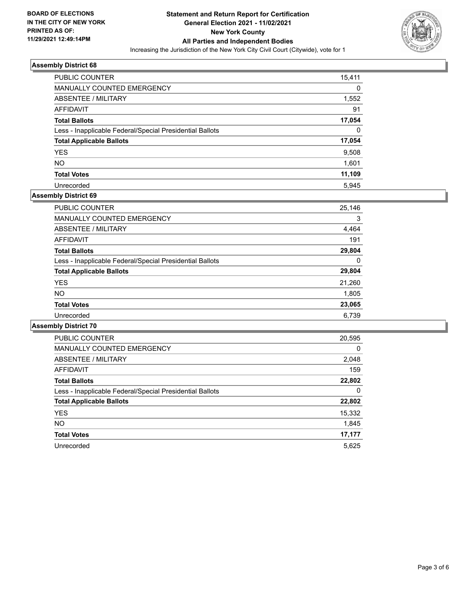

| PUBLIC COUNTER                                           | 15,411 |
|----------------------------------------------------------|--------|
| MANUALLY COUNTED EMERGENCY                               | 0      |
| ABSENTEE / MILITARY                                      | 1,552  |
| AFFIDAVIT                                                | 91     |
| <b>Total Ballots</b>                                     | 17,054 |
| Less - Inapplicable Federal/Special Presidential Ballots | 0      |
| <b>Total Applicable Ballots</b>                          | 17,054 |
| <b>YES</b>                                               | 9,508  |
| NO.                                                      | 1,601  |
| <b>Total Votes</b>                                       | 11,109 |
| Unrecorded                                               | 5.945  |

# **Assembly District 69**

| <b>PUBLIC COUNTER</b>                                    | 25,146 |
|----------------------------------------------------------|--------|
| <b>MANUALLY COUNTED EMERGENCY</b>                        | 3      |
| ABSENTEE / MILITARY                                      | 4,464  |
| AFFIDAVIT                                                | 191    |
| <b>Total Ballots</b>                                     | 29,804 |
| Less - Inapplicable Federal/Special Presidential Ballots | 0      |
| <b>Total Applicable Ballots</b>                          | 29,804 |
| <b>YES</b>                                               | 21,260 |
| <b>NO</b>                                                | 1,805  |
| <b>Total Votes</b>                                       | 23,065 |
| Unrecorded                                               | 6.739  |

| <b>PUBLIC COUNTER</b>                                    | 20,595   |
|----------------------------------------------------------|----------|
| <b>MANUALLY COUNTED EMERGENCY</b>                        | $\Omega$ |
| ABSENTEE / MILITARY                                      | 2,048    |
| <b>AFFIDAVIT</b>                                         | 159      |
| <b>Total Ballots</b>                                     | 22,802   |
| Less - Inapplicable Federal/Special Presidential Ballots | 0        |
| <b>Total Applicable Ballots</b>                          | 22,802   |
| <b>YES</b>                                               | 15,332   |
| NO.                                                      | 1,845    |
| <b>Total Votes</b>                                       | 17,177   |
| Unrecorded                                               | 5,625    |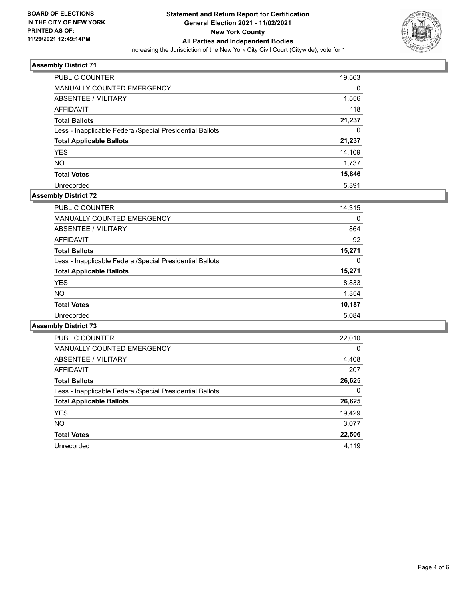

| PUBLIC COUNTER                                           | 19,563 |
|----------------------------------------------------------|--------|
| <b>MANUALLY COUNTED EMERGENCY</b>                        | 0      |
| ABSENTEE / MILITARY                                      | 1,556  |
| AFFIDAVIT                                                | 118    |
| <b>Total Ballots</b>                                     | 21,237 |
| Less - Inapplicable Federal/Special Presidential Ballots | 0      |
| <b>Total Applicable Ballots</b>                          | 21,237 |
| <b>YES</b>                                               | 14,109 |
| NO.                                                      | 1,737  |
| <b>Total Votes</b>                                       | 15,846 |
| Unrecorded                                               | 5.391  |

#### **Assembly District 72**

| <b>PUBLIC COUNTER</b>                                    | 14,315 |
|----------------------------------------------------------|--------|
| <b>MANUALLY COUNTED EMERGENCY</b>                        | 0      |
| ABSENTEE / MILITARY                                      | 864    |
| AFFIDAVIT                                                | 92     |
| <b>Total Ballots</b>                                     | 15,271 |
| Less - Inapplicable Federal/Special Presidential Ballots | 0      |
| <b>Total Applicable Ballots</b>                          | 15,271 |
| <b>YES</b>                                               | 8,833  |
| NO.                                                      | 1,354  |
| <b>Total Votes</b>                                       | 10,187 |
| Unrecorded                                               | 5.084  |

| <b>PUBLIC COUNTER</b>                                    | 22,010   |
|----------------------------------------------------------|----------|
| <b>MANUALLY COUNTED EMERGENCY</b>                        | $\Omega$ |
| ABSENTEE / MILITARY                                      | 4,408    |
| <b>AFFIDAVIT</b>                                         | 207      |
| <b>Total Ballots</b>                                     | 26,625   |
| Less - Inapplicable Federal/Special Presidential Ballots | 0        |
| <b>Total Applicable Ballots</b>                          | 26,625   |
| <b>YES</b>                                               | 19,429   |
| <b>NO</b>                                                | 3.077    |
| <b>Total Votes</b>                                       | 22,506   |
| Unrecorded                                               | 4.119    |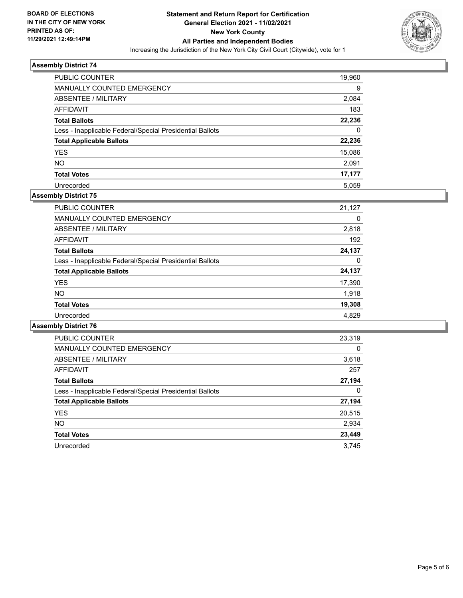

| PUBLIC COUNTER                                           | 19,960 |
|----------------------------------------------------------|--------|
| <b>MANUALLY COUNTED EMERGENCY</b>                        | 9      |
| ABSENTEE / MILITARY                                      | 2,084  |
| AFFIDAVIT                                                | 183    |
| <b>Total Ballots</b>                                     | 22,236 |
| Less - Inapplicable Federal/Special Presidential Ballots | 0      |
| <b>Total Applicable Ballots</b>                          | 22,236 |
| <b>YES</b>                                               | 15,086 |
| <b>NO</b>                                                | 2,091  |
| <b>Total Votes</b>                                       | 17,177 |
| Unrecorded                                               | 5.059  |

# **Assembly District 75**

| <b>PUBLIC COUNTER</b>                                    | 21,127 |
|----------------------------------------------------------|--------|
| <b>MANUALLY COUNTED EMERGENCY</b>                        | 0      |
| ABSENTEE / MILITARY                                      | 2,818  |
| AFFIDAVIT                                                | 192    |
| <b>Total Ballots</b>                                     | 24,137 |
| Less - Inapplicable Federal/Special Presidential Ballots | 0      |
| <b>Total Applicable Ballots</b>                          | 24,137 |
| <b>YES</b>                                               | 17,390 |
| NO.                                                      | 1.918  |
| <b>Total Votes</b>                                       | 19,308 |
| Unrecorded                                               | 4.829  |

| <b>PUBLIC COUNTER</b>                                    | 23,319 |
|----------------------------------------------------------|--------|
| MANUALLY COUNTED EMERGENCY                               | 0      |
| ABSENTEE / MILITARY                                      | 3,618  |
| AFFIDAVIT                                                | 257    |
| <b>Total Ballots</b>                                     | 27,194 |
| Less - Inapplicable Federal/Special Presidential Ballots | 0      |
| <b>Total Applicable Ballots</b>                          | 27,194 |
| <b>YES</b>                                               | 20,515 |
| <b>NO</b>                                                | 2,934  |
| <b>Total Votes</b>                                       | 23,449 |
| Unrecorded                                               | 3.745  |